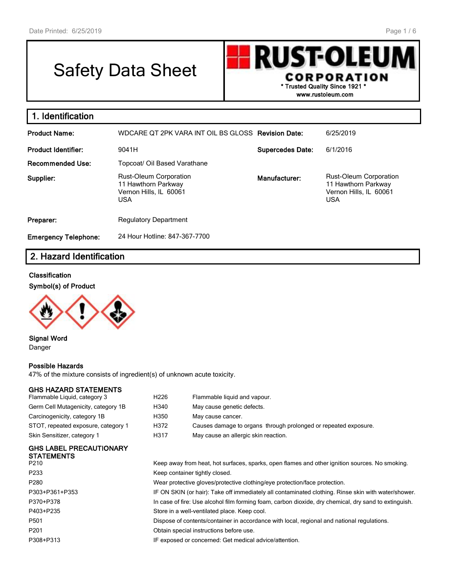# Safety Data Sheet

**RUST-OLEU** I **CORPORATION \* Trusted Quality Since 1921 \* www.rustoleum.com**

| 1. Identification           |                                                                                              |                         |                                                                                              |
|-----------------------------|----------------------------------------------------------------------------------------------|-------------------------|----------------------------------------------------------------------------------------------|
| <b>Product Name:</b>        | WDCARE QT 2PK VARA INT OIL BS GLOSS Revision Date:                                           |                         | 6/25/2019                                                                                    |
| Product Identifier:         | 9041H                                                                                        | <b>Supercedes Date:</b> | 6/1/2016                                                                                     |
| <b>Recommended Use:</b>     | Topcoat/ Oil Based Varathane                                                                 |                         |                                                                                              |
| Supplier:                   | <b>Rust-Oleum Corporation</b><br>11 Hawthorn Parkway<br>Vernon Hills, IL 60061<br><b>USA</b> | Manufacturer:           | <b>Rust-Oleum Corporation</b><br>11 Hawthorn Parkway<br>Vernon Hills, IL 60061<br><b>USA</b> |
| Preparer:                   | <b>Regulatory Department</b>                                                                 |                         |                                                                                              |
| <b>Emergency Telephone:</b> | 24 Hour Hotline: 847-367-7700                                                                |                         |                                                                                              |
|                             |                                                                                              |                         |                                                                                              |

# **2. Hazard Identification**

#### **Classification**

**Symbol(s) of Product**



**Signal Word** Danger

#### **Possible Hazards**

47% of the mixture consists of ingredient(s) of unknown acute toxicity.

#### **GHS HAZARD STATEMENTS**

| AUAI IREL                           |      |                                                                 |
|-------------------------------------|------|-----------------------------------------------------------------|
| Skin Sensitizer, category 1         | H317 | May cause an allergic skin reaction.                            |
| STOT, repeated exposure, category 1 | H372 | Causes damage to organs through prolonged or repeated exposure. |
| Carcinogenicity, category 1B        | H350 | May cause cancer.                                               |
| Germ Cell Mutagenicity, category 1B | H340 | May cause genetic defects.                                      |
| Flammable Liquid, category 3        | H226 | Flammable liquid and vapour.                                    |

#### **GHS LABEL PRECAUTIONARY STATEMENTS**

| P210             | Keep away from heat, hot surfaces, sparks, open flames and other ignition sources. No smoking.        |
|------------------|-------------------------------------------------------------------------------------------------------|
| P233             | Keep container tightly closed.                                                                        |
| P <sub>280</sub> | Wear protective gloves/protective clothing/eye protection/face protection.                            |
| P303+P361+P353   | IF ON SKIN (or hair): Take off immediately all contaminated clothing. Rinse skin with water/shower.   |
| P370+P378        | In case of fire: Use alcohol film forming foam, carbon dioxide, dry chemical, dry sand to extinguish. |
| P403+P235        | Store in a well-ventilated place. Keep cool.                                                          |
| P501             | Dispose of contents/container in accordance with local, regional and national regulations.            |
| P <sub>201</sub> | Obtain special instructions before use.                                                               |
| P308+P313        | IF exposed or concerned: Get medical advice/attention.                                                |
|                  |                                                                                                       |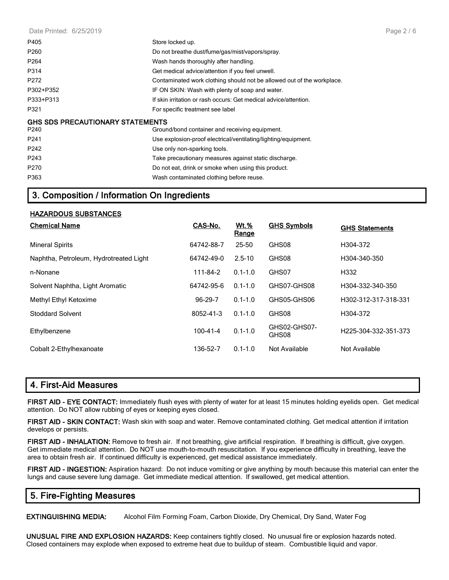Date Printed: 6/25/2019

| P405                                    | Store locked up.                                                       |
|-----------------------------------------|------------------------------------------------------------------------|
| P <sub>260</sub>                        | Do not breathe dust/fume/gas/mist/vapors/spray.                        |
| P <sub>264</sub>                        | Wash hands thoroughly after handling.                                  |
| P314                                    | Get medical advice/attention if you feel unwell.                       |
| P272                                    | Contaminated work clothing should not be allowed out of the workplace. |
| P302+P352                               | IF ON SKIN: Wash with plenty of soap and water.                        |
| P333+P313                               | If skin irritation or rash occurs: Get medical advice/attention.       |
| P321                                    | For specific treatment see label                                       |
| <b>GHS SDS PRECAUTIONARY STATEMENTS</b> |                                                                        |
| P240                                    | Ground/bond container and receiving equipment.                         |
| P241                                    | Use explosion-proof electrical/ventilating/lighting/equipment.         |
| P242                                    | Use only non-sparking tools.                                           |
| P243                                    | Take precautionary measures against static discharge.                  |
| P270                                    | Do not eat, drink or smoke when using this product.                    |
| P363                                    | Wash contaminated clothing before reuse.                               |

# **3. Composition / Information On Ingredients**

#### **HAZARDOUS SUBSTANCES**

| <b>Chemical Name</b>                   | CAS-No.        | <u>Wt.%</u><br>Range | <b>GHS Symbols</b>    | <b>GHS Statements</b> |
|----------------------------------------|----------------|----------------------|-----------------------|-----------------------|
| <b>Mineral Spirits</b>                 | 64742-88-7     | 25-50                | GHS08                 | H304-372              |
| Naphtha, Petroleum, Hydrotreated Light | 64742-49-0     | $2.5 - 10$           | GHS08                 | H304-340-350          |
| n-Nonane                               | 111-84-2       | $0.1 - 1.0$          | GHS07                 | H332                  |
| Solvent Naphtha, Light Aromatic        | 64742-95-6     | $0.1 - 1.0$          | GHS07-GHS08           | H304-332-340-350      |
| Methyl Ethyl Ketoxime                  | 96-29-7        | $0.1 - 1.0$          | GHS05-GHS06           | H302-312-317-318-331  |
| <b>Stoddard Solvent</b>                | 8052-41-3      | $0.1 - 1.0$          | GHS08                 | H304-372              |
| Ethylbenzene                           | $100 - 41 - 4$ | $0.1 - 1.0$          | GHS02-GHS07-<br>GHS08 | H225-304-332-351-373  |
| Cobalt 2-Ethylhexanoate                | 136-52-7       | $0.1 - 1.0$          | Not Available         | Not Available         |

#### **4. First-Aid Measures**

**FIRST AID - EYE CONTACT:** Immediately flush eyes with plenty of water for at least 15 minutes holding eyelids open. Get medical attention. Do NOT allow rubbing of eyes or keeping eyes closed.

**FIRST AID - SKIN CONTACT:** Wash skin with soap and water. Remove contaminated clothing. Get medical attention if irritation develops or persists.

**FIRST AID - INHALATION:** Remove to fresh air. If not breathing, give artificial respiration. If breathing is difficult, give oxygen. Get immediate medical attention. Do NOT use mouth-to-mouth resuscitation. If you experience difficulty in breathing, leave the area to obtain fresh air. If continued difficulty is experienced, get medical assistance immediately.

**FIRST AID - INGESTION:** Aspiration hazard: Do not induce vomiting or give anything by mouth because this material can enter the lungs and cause severe lung damage. Get immediate medical attention. If swallowed, get medical attention.

# **5. Fire-Fighting Measures**

**EXTINGUISHING MEDIA:** Alcohol Film Forming Foam, Carbon Dioxide, Dry Chemical, Dry Sand, Water Fog

**UNUSUAL FIRE AND EXPLOSION HAZARDS:** Keep containers tightly closed. No unusual fire or explosion hazards noted. Closed containers may explode when exposed to extreme heat due to buildup of steam. Combustible liquid and vapor.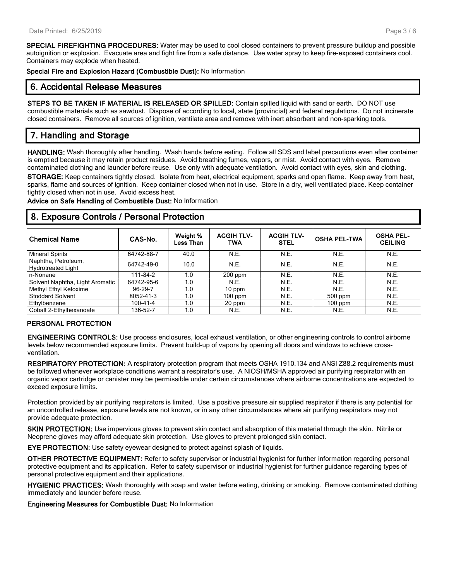**SPECIAL FIREFIGHTING PROCEDURES:** Water may be used to cool closed containers to prevent pressure buildup and possible autoignition or explosion. Evacuate area and fight fire from a safe distance. Use water spray to keep fire-exposed containers cool. Containers may explode when heated.

**Special Fire and Explosion Hazard (Combustible Dust):** No Information

## **6. Accidental Release Measures**

**STEPS TO BE TAKEN IF MATERIAL IS RELEASED OR SPILLED:** Contain spilled liquid with sand or earth. DO NOT use combustible materials such as sawdust. Dispose of according to local, state (provincial) and federal regulations. Do not incinerate closed containers. Remove all sources of ignition, ventilate area and remove with inert absorbent and non-sparking tools.

# **7. Handling and Storage**

**HANDLING:** Wash thoroughly after handling. Wash hands before eating. Follow all SDS and label precautions even after container is emptied because it may retain product residues. Avoid breathing fumes, vapors, or mist. Avoid contact with eyes. Remove contaminated clothing and launder before reuse. Use only with adequate ventilation. Avoid contact with eyes, skin and clothing. **STORAGE:** Keep containers tightly closed. Isolate from heat, electrical equipment, sparks and open flame. Keep away from heat, sparks, flame and sources of ignition. Keep container closed when not in use. Store in a dry, well ventilated place. Keep container tightly closed when not in use. Avoid excess heat.

**Advice on Safe Handling of Combustible Dust:** No Information

## **8. Exposure Controls / Personal Protection**

| <b>Chemical Name</b>                             | CAS-No.    | Weight %<br>Less Than | <b>ACGIH TLV-</b><br><b>TWA</b> | <b>ACGIH TLV-</b><br><b>STEL</b> | <b>OSHA PEL-TWA</b> | <b>OSHA PEL-</b><br><b>CEILING</b> |
|--------------------------------------------------|------------|-----------------------|---------------------------------|----------------------------------|---------------------|------------------------------------|
| <b>Mineral Spirits</b>                           | 64742-88-7 | 40.0                  | N.E.                            | N.E.                             | N.E.                | N.E.                               |
| Naphtha, Petroleum,<br><b>Hydrotreated Light</b> | 64742-49-0 | 10.0                  | N.E.                            | N.E.                             | N.E.                | N.E.                               |
| n-Nonane                                         | 111-84-2   | 1.0                   | $200$ ppm                       | N.E.                             | N.E.                | N.E.                               |
| Solvent Naphtha, Light Aromatic                  | 64742-95-6 | 1.0                   | N.E.                            | N.E.                             | N.E.                | N.E.                               |
| Methyl Ethyl Ketoxime                            | 96-29-7    | 1.0                   | 10 ppm                          | N.E.                             | <b>N.E.</b>         | N.E.                               |
| <b>Stoddard Solvent</b>                          | 8052-41-3  | 1.0                   | $100$ ppm                       | N.E.                             | $500$ ppm           | N.E.                               |
| Ethylbenzene                                     | 100-41-4   | 1.0                   | 20 ppm                          | N.E.                             | $100$ ppm           | N.E.                               |
| Cobalt 2-Ethylhexanoate                          | 136-52-7   | 1.0                   | N.E.                            | N.E.                             | N.E.                | N.E.                               |

#### **PERSONAL PROTECTION**

**ENGINEERING CONTROLS:** Use process enclosures, local exhaust ventilation, or other engineering controls to control airborne levels below recommended exposure limits. Prevent build-up of vapors by opening all doors and windows to achieve crossventilation.

**RESPIRATORY PROTECTION:** A respiratory protection program that meets OSHA 1910.134 and ANSI Z88.2 requirements must be followed whenever workplace conditions warrant a respirator's use. A NIOSH/MSHA approved air purifying respirator with an organic vapor cartridge or canister may be permissible under certain circumstances where airborne concentrations are expected to exceed exposure limits.

Protection provided by air purifying respirators is limited. Use a positive pressure air supplied respirator if there is any potential for an uncontrolled release, exposure levels are not known, or in any other circumstances where air purifying respirators may not provide adequate protection.

**SKIN PROTECTION:** Use impervious gloves to prevent skin contact and absorption of this material through the skin. Nitrile or Neoprene gloves may afford adequate skin protection. Use gloves to prevent prolonged skin contact.

**EYE PROTECTION:** Use safety eyewear designed to protect against splash of liquids.

**OTHER PROTECTIVE EQUIPMENT:** Refer to safety supervisor or industrial hygienist for further information regarding personal protective equipment and its application. Refer to safety supervisor or industrial hygienist for further guidance regarding types of personal protective equipment and their applications.

**HYGIENIC PRACTICES:** Wash thoroughly with soap and water before eating, drinking or smoking. Remove contaminated clothing immediately and launder before reuse.

**Engineering Measures for Combustible Dust:** No Information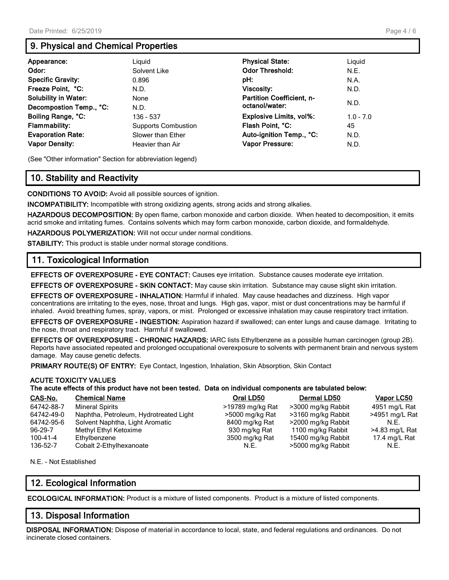# **9. Physical and Chemical Properties**

| Appearance:                 | Liguid                     | <b>Physical State:</b>           | Liguid      |
|-----------------------------|----------------------------|----------------------------------|-------------|
| Odor:                       | Solvent Like               | <b>Odor Threshold:</b>           | N.E.        |
| <b>Specific Gravity:</b>    | 0.896                      | pH:                              | N.A.        |
| Freeze Point, °C:           | N.D.                       | <b>Viscosity:</b>                | N.D.        |
| <b>Solubility in Water:</b> | None                       | <b>Partition Coefficient, n-</b> | N.D.        |
| Decompostion Temp., °C:     | N.D.                       | octanol/water:                   |             |
| Boiling Range, °C:          | 136 - 537                  | <b>Explosive Limits, vol%:</b>   | $1.0 - 7.0$ |
| <b>Flammability:</b>        | <b>Supports Combustion</b> | Flash Point, °C:                 | 45          |
| <b>Evaporation Rate:</b>    | Slower than Ether          | Auto-ignition Temp., °C:         | N.D.        |
| <b>Vapor Density:</b>       | Heavier than Air           | <b>Vapor Pressure:</b>           | N.D.        |

(See "Other information" Section for abbreviation legend)

# **10. Stability and Reactivity**

**CONDITIONS TO AVOID:** Avoid all possible sources of ignition.

**INCOMPATIBILITY:** Incompatible with strong oxidizing agents, strong acids and strong alkalies.

**HAZARDOUS DECOMPOSITION:** By open flame, carbon monoxide and carbon dioxide. When heated to decomposition, it emits acrid smoke and irritating fumes. Contains solvents which may form carbon monoxide, carbon dioxide, and formaldehyde.

**HAZARDOUS POLYMERIZATION:** Will not occur under normal conditions.

**STABILITY:** This product is stable under normal storage conditions.

## **11. Toxicological Information**

**EFFECTS OF OVEREXPOSURE - EYE CONTACT:** Causes eye irritation. Substance causes moderate eye irritation.

**EFFECTS OF OVEREXPOSURE - SKIN CONTACT:** May cause skin irritation. Substance may cause slight skin irritation.

**EFFECTS OF OVEREXPOSURE - INHALATION:** Harmful if inhaled. May cause headaches and dizziness. High vapor concentrations are irritating to the eyes, nose, throat and lungs. High gas, vapor, mist or dust concentrations may be harmful if inhaled. Avoid breathing fumes, spray, vapors, or mist. Prolonged or excessive inhalation may cause respiratory tract irritation.

**EFFECTS OF OVEREXPOSURE - INGESTION:** Aspiration hazard if swallowed; can enter lungs and cause damage. Irritating to the nose, throat and respiratory tract. Harmful if swallowed.

**EFFECTS OF OVEREXPOSURE - CHRONIC HAZARDS:** IARC lists Ethylbenzene as a possible human carcinogen (group 2B). Reports have associated repeated and prolonged occupational overexposure to solvents with permanent brain and nervous system damage. May cause genetic defects.

**PRIMARY ROUTE(S) OF ENTRY:** Eye Contact, Ingestion, Inhalation, Skin Absorption, Skin Contact

#### **ACUTE TOXICITY VALUES**

#### **The acute effects of this product have not been tested. Data on individual components are tabulated below:**

| CAS-No.    | <b>Chemical Name</b>                   | Oral LD50        | Dermal LD50        | Vapor LC50     |
|------------|----------------------------------------|------------------|--------------------|----------------|
| 64742-88-7 | <b>Mineral Spirits</b>                 | >19789 mg/kg Rat | >3000 mg/kg Rabbit | 4951 mg/L Rat  |
| 64742-49-0 | Naphtha, Petroleum, Hydrotreated Light | >5000 mg/kg Rat  | >3160 mg/kg Rabbit | >4951 mg/L Rat |
| 64742-95-6 | Solvent Naphtha, Light Aromatic        | 8400 mg/kg Rat   | >2000 mg/kg Rabbit | N.E.           |
| 96-29-7    | Methyl Ethyl Ketoxime                  | 930 mg/kg Rat    | 1100 mg/kg Rabbit  | >4.83 mg/L Rat |
| 100-41-4   | Ethylbenzene                           | 3500 mg/kg Rat   | 15400 mg/kg Rabbit | 17.4 mg/L Rat  |
| 136-52-7   | Cobalt 2-Ethylhexanoate                | N.E.             | >5000 mg/kg Rabbit | N.E.           |

N.E. - Not Established

# **12. Ecological Information**

**ECOLOGICAL INFORMATION:** Product is a mixture of listed components. Product is a mixture of listed components.

#### **13. Disposal Information**

**DISPOSAL INFORMATION:** Dispose of material in accordance to local, state, and federal regulations and ordinances. Do not incinerate closed containers.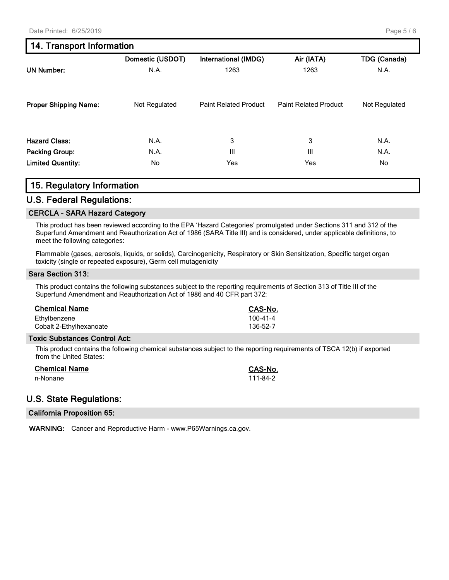# **14. Transport Information**

|                              | Domestic (USDOT) | <b>International (IMDG)</b>  | Air (IATA)                   | <b>TDG</b> (Canada) |
|------------------------------|------------------|------------------------------|------------------------------|---------------------|
| <b>UN Number:</b>            | N.A.             | 1263                         | 1263                         | N.A.                |
| <b>Proper Shipping Name:</b> | Not Regulated    | <b>Paint Related Product</b> | <b>Paint Related Product</b> | Not Regulated       |
| <b>Hazard Class:</b>         | N.A.             | 3                            | 3                            | N.A.                |
| <b>Packing Group:</b>        | N.A.             | Ш                            | $\mathbf{III}$               | N.A.                |
| <b>Limited Quantity:</b>     | No               | Yes                          | Yes                          | No                  |

# **15. Regulatory Information**

#### **U.S. Federal Regulations:**

#### **CERCLA - SARA Hazard Category**

This product has been reviewed according to the EPA 'Hazard Categories' promulgated under Sections 311 and 312 of the Superfund Amendment and Reauthorization Act of 1986 (SARA Title III) and is considered, under applicable definitions, to meet the following categories:

Flammable (gases, aerosols, liquids, or solids), Carcinogenicity, Respiratory or Skin Sensitization, Specific target organ toxicity (single or repeated exposure), Germ cell mutagenicity

#### **Sara Section 313:**

This product contains the following substances subject to the reporting requirements of Section 313 of Title III of the Superfund Amendment and Reauthorization Act of 1986 and 40 CFR part 372:

| <b>Chemical Name</b>    | CAS-No.        |
|-------------------------|----------------|
| Ethylbenzene            | $100 - 41 - 4$ |
| Cobalt 2-Ethylhexanoate | 136-52-7       |

#### **Toxic Substances Control Act:**

This product contains the following chemical substances subject to the reporting requirements of TSCA 12(b) if exported from the United States:

| <b>Chemical Name</b> | <b>CAS-No.</b> |
|----------------------|----------------|
| n-Nonane             | 111-84-2       |

# **U.S. State Regulations:**

#### **California Proposition 65:**

**WARNING:** Cancer and Reproductive Harm - www.P65Warnings.ca.gov.